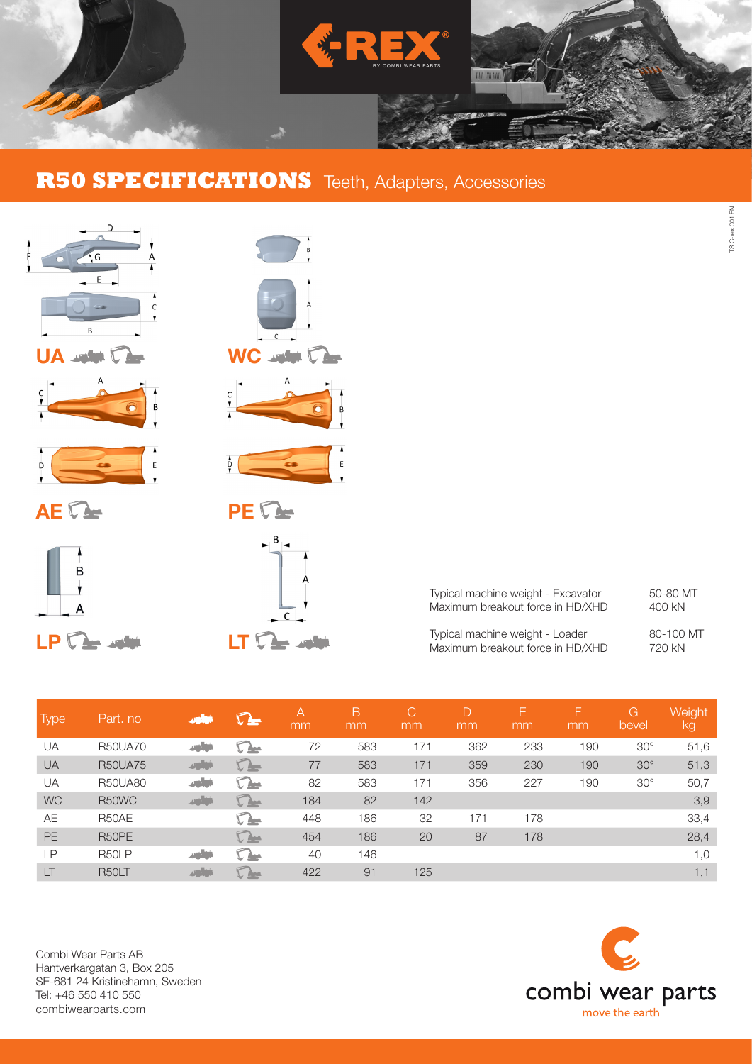

## **R50 SPECIFICATIONS** Teeth, Adapters, Accessories



 $\overline{D}$ 

| $\begin{array}{c}\n1 \\ B \\ T\n\end{array}$ |
|----------------------------------------------|
| Δ<br>A<br>C                                  |
| $\bigcap$<br>C                               |
| A<br>$rac{C}{I}$<br>B<br>V                   |
| $\frac{1}{2}$<br>$\frac{1}{2}$               |
| <b>PE</b>                                    |
| B<br>А<br>Ć                                  |

| Typical machine weight - Excavator | 50-80 MT  |
|------------------------------------|-----------|
| Maximum breakout force in HD/XHD   | 400 kN    |
| Typical machine weight - Loader    | 80-100 MT |
| Maximum breakout force in HD/XHD   | 720 kN    |

TS C-rex 001 EN

TS C-rex 001 EN

| <b>Type</b> | Part. no       | التأود       | $\Omega$ | A<br>mm | B<br>mm | C'<br>mm | D<br>mm | Е<br>mm | F<br>mm | G<br>bevel | Weight<br>lkg |
|-------------|----------------|--------------|----------|---------|---------|----------|---------|---------|---------|------------|---------------|
| UA          | <b>R50UA70</b> | ازراري       | ◟▴       | 72      | 583     | 171      | 362     | 233     | 190     | $30^\circ$ | 51,6          |
| <b>UA</b>   | <b>R50UA75</b> | <b>STATE</b> | $\Gamma$ | 77      | 583     | 171      | 359     | 230     | 190     | $30^\circ$ | 51,3          |
| UA          | <b>R50UA80</b> | الألود       | $\Omega$ | 82      | 583     | 171      | 356     | 227     | 190     | $30^\circ$ | 50,7          |
| <b>WC</b>   | R50WC          | التأليد      | $\Gamma$ | 184     | 82      | 142      |         |         |         |            | 3,9           |
| AE          | R50AE          |              | $\Gamma$ | 448     | 186     | 32       | 171     | 178     |         |            | 33,4          |
| <b>PE</b>   | R50PE          |              | $\Gamma$ | 454     | 186     | 20       | 87      | 178     |         |            | 28,4          |
| LP          | R50LP          | ازار         | $\cap$   | 40      | 146     |          |         |         |         |            | 1,0           |
| LT          | R50LT          | ازرارى       | Amer.    | 422     | 91      | 125      |         |         |         |            | 1,1           |

Combi Wear Parts AB Hantverkargatan 3, Box 205 SE-681 24 Kristinehamn, Sweden Tel: +46 550 410 550 combiwearparts.com